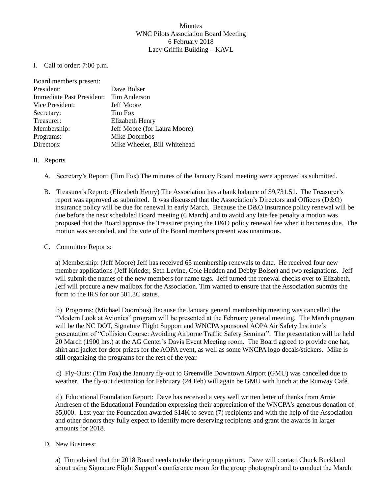## Minutes WNC Pilots Association Board Meeting 6 February 2018 Lacy Griffin Building – KAVL

I. Call to order: 7:00 p.m.

| Board members present:    |                              |
|---------------------------|------------------------------|
| President:                | Dave Bolser                  |
| Immediate Past President: | Tim Anderson                 |
| Vice President:           | <b>Jeff Moore</b>            |
| Secretary:                | <b>Tim Fox</b>               |
| Treasurer:                | Elizabeth Henry              |
| Membership:               | Jeff Moore (for Laura Moore) |
| Programs:                 | Mike Doornbos                |
| Directors:                | Mike Wheeler, Bill Whitehead |

## II. Reports

- A. Secretary's Report: (Tim Fox) The minutes of the January Board meeting were approved as submitted.
- B. Treasurer's Report: (Elizabeth Henry) The Association has a bank balance of \$9,731.51. The Treasurer's report was approved as submitted. It was discussed that the Association's Directors and Officers (D&O) insurance policy will be due for renewal in early March. Because the D&O Insurance policy renewal will be due before the next scheduled Board meeting (6 March) and to avoid any late fee penalty a motion was proposed that the Board approve the Treasurer paying the D&O policy renewal fee when it becomes due. The motion was seconded, and the vote of the Board members present was unanimous.

## C. Committee Reports:

a) Membership: (Jeff Moore) Jeff has received 65 membership renewals to date. He received four new member applications (Jeff Krieder, Seth Levine, Cole Hedden and Debby Bolser) and two resignations. Jeff will submit the names of the new members for name tags. Jeff turned the renewal checks over to Elizabeth. Jeff will procure a new mailbox for the Association. Tim wanted to ensure that the Association submits the form to the IRS for our 501.3C status.

b) Programs: (Michael Doornbos) Because the January general membership meeting was cancelled the "Modern Look at Avionics" program will be presented at the February general meeting. The March program will be the NC DOT, Signature Flight Support and WNCPA sponsored AOPA Air Safety Institute's presentation of "Collision Course: Avoiding Airborne Traffic Safety Seminar". The presentation will be held 20 March (1900 hrs.) at the AG Center's Davis Event Meeting room. The Board agreed to provide one hat, shirt and jacket for door prizes for the AOPA event, as well as some WNCPA logo decals/stickers. Mike is still organizing the programs for the rest of the year.

c) Fly-Outs: (Tim Fox) the January fly-out to Greenville Downtown Airport (GMU) was cancelled due to weather. The fly-out destination for February (24 Feb) will again be GMU with lunch at the Runway Café.

d) Educational Foundation Report: Dave has received a very well written letter of thanks from Arnie Andresen of the Educational Foundation expressing their appreciation of the WNCPA's generous donation of \$5,000. Last year the Foundation awarded \$14K to seven (7) recipients and with the help of the Association and other donors they fully expect to identify more deserving recipients and grant the awards in larger amounts for 2018.

## D. New Business:

a) Tim advised that the 2018 Board needs to take their group picture. Dave will contact Chuck Buckland about using Signature Flight Support's conference room for the group photograph and to conduct the March